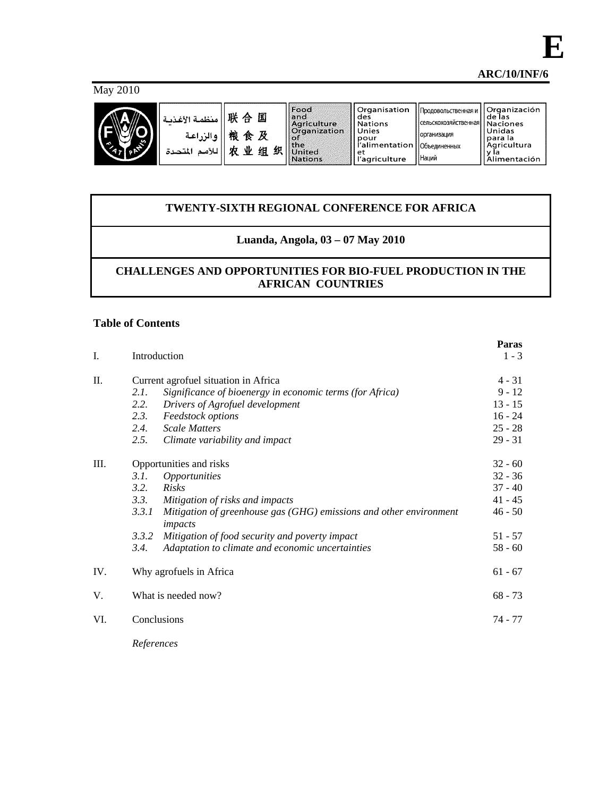**E**

May 2010



| منظمة الأغذمة<br>والزراعية | 联合<br>桹<br>食 | 囸      | <b>Food</b><br>land<br>Agriculture<br>l Organization         | Organisation<br>des<br><b>Nations</b><br>Unies               | <b>Продовольственная и</b><br><b>«Сельскохозяйственная   Naciones</b><br>Норганизация | l Organización<br>  de las<br>l Unidas                |
|----------------------------|--------------|--------|--------------------------------------------------------------|--------------------------------------------------------------|---------------------------------------------------------------------------------------|-------------------------------------------------------|
| للأمد<br>المتحدة           | 业<br>农       | 织<br>组 | <b>Roll</b><br><b>the</b><br><b>United</b><br><b>Nations</b> | pour<br>l'alimentation   Объединенных<br>еt<br>l'agriculture | <b>Наций</b>                                                                          | <b>Ipara la</b><br>Agricultura<br><b>Alimentación</b> |

# **TWENTY-SIXTH REGIONAL CONFERENCE FOR AFRICA**

# **Luanda, Angola, 03 – 07 May 2010**

# **CHALLENGES AND OPPORTUNITIES FOR BIO-FUEL PRODUCTION IN THE AFRICAN COUNTRIES**

# **Table of Contents**

| I.  |                                      | Introduction                                                                  | Paras<br>$1 - 3$ |  |  |  |
|-----|--------------------------------------|-------------------------------------------------------------------------------|------------------|--|--|--|
| Π.  | Current agrofuel situation in Africa |                                                                               |                  |  |  |  |
|     | 2.1.                                 | Significance of bioenergy in economic terms (for Africa)                      | $9 - 12$         |  |  |  |
|     | 2.2.                                 | Drivers of Agrofuel development                                               | $13 - 15$        |  |  |  |
|     | 2.3.                                 | Feedstock options                                                             | $16 - 24$        |  |  |  |
|     | 2.4.                                 | <b>Scale Matters</b>                                                          | $25 - 28$        |  |  |  |
|     | 2.5.                                 | Climate variability and impact                                                | $29 - 31$        |  |  |  |
| Ш.  | Opportunities and risks              |                                                                               |                  |  |  |  |
|     | 3.1.                                 | <i><b>Opportunities</b></i>                                                   | $32 - 36$        |  |  |  |
|     | 3.2.                                 | Risks                                                                         | $37 - 40$        |  |  |  |
|     | 3.3.                                 | Mitigation of risks and impacts                                               | $41 - 45$        |  |  |  |
|     | 3.3.1                                | Mitigation of greenhouse gas (GHG) emissions and other environment<br>impacts | $46 - 50$        |  |  |  |
|     | 3.3.2                                | Mitigation of food security and poverty impact                                | $51 - 57$        |  |  |  |
|     | 3.4.                                 | Adaptation to climate and economic uncertainties                              | $58 - 60$        |  |  |  |
| IV. |                                      | Why agrofuels in Africa                                                       | $61 - 67$        |  |  |  |
| V.  |                                      | What is needed now?                                                           | $68 - 73$        |  |  |  |
| VI. |                                      | Conclusions                                                                   | 74 - 77          |  |  |  |
|     |                                      |                                                                               |                  |  |  |  |

*References*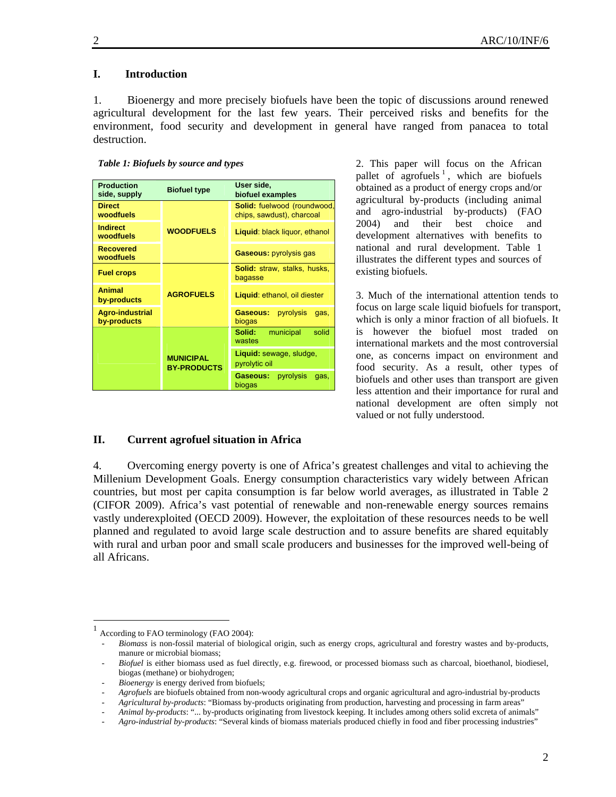# **I. Introduction**

1. Bioenergy and more precisely biofuels have been the topic of discussions around renewed agricultural development for the last few years. Their perceived risks and benefits for the environment, food security and development in general have ranged from panacea to total destruction.

| <b>Production</b><br>side, supply     | <b>Biofuel type</b>                    | User side,<br>biofuel examples                           |  |  |  |
|---------------------------------------|----------------------------------------|----------------------------------------------------------|--|--|--|
| <b>Direct</b><br>woodfuels            |                                        | Solid: fuelwood (roundwood,<br>chips, sawdust), charcoal |  |  |  |
| <b>Indirect</b><br>woodfuels          | <b>WOODFUELS</b>                       | Liquid: black liquor, ethanol                            |  |  |  |
| <b>Recovered</b><br>woodfuels         |                                        | <b>Gaseous: pyrolysis gas</b>                            |  |  |  |
| <b>Fuel crops</b>                     |                                        | <b>Solid:</b> straw, stalks, husks,<br>bagasse           |  |  |  |
| <b>Animal</b><br>by-products          | <b>AGROFUELS</b>                       | Liquid: ethanol, oil diester                             |  |  |  |
| <b>Agro-industrial</b><br>by-products |                                        | Gaseous:<br>pyrolysis<br>gas,<br>biogas                  |  |  |  |
|                                       |                                        | Solid:<br>solid<br>municipal<br>wastes                   |  |  |  |
|                                       | <b>MUNICIPAL</b><br><b>BY-PRODUCTS</b> | Liquid: sewage, sludge,<br>pyrolytic oil                 |  |  |  |
|                                       |                                        | pyrolysis<br>Gaseous:<br>gas,<br>biogas                  |  |  |  |

2. This paper will focus on the African pallet of  $\arctan x$  , which are biofuels obtained as a product of energy crops and/or agricultural by-products (including animal and agro-industrial by-products) (FAO 2004) and their best choice and development alternatives with benefits to national and rural development. Table 1 illustrates the different types and sources of existing biofuels.

3. Much of the international attention tends to focus on large scale liquid biofuels for transport, which is only a minor fraction of all biofuels. It is however the biofuel most traded on international markets and the most controversial one, as concerns impact on environment and food security. As a result, other types of biofuels and other uses than transport are given less attention and their importance for rural and national development are often simply not valued or not fully understood.

#### **II. Current agrofuel situation in Africa**

4. Overcoming energy poverty is one of Africa's greatest challenges and vital to achieving the Millenium Development Goals. Energy consumption characteristics vary widely between African countries, but most per capita consumption is far below world averages, as illustrated in Table 2 (CIFOR 2009). Africa's vast potential of renewable and non-renewable energy sources remains vastly underexploited (OECD 2009). However, the exploitation of these resources needs to be well planned and regulated to avoid large scale destruction and to assure benefits are shared equitably with rural and urban poor and small scale producers and businesses for the improved well-being of all Africans.

 $\overline{\phantom{a}}$ 

According to FAO terminology (FAO 2004):

<sup>-</sup> *Biomass* is non-fossil material of biological origin, such as energy crops, agricultural and forestry wastes and by-products, manure or microbial biomass;

<sup>-</sup> *Biofuel* is either biomass used as fuel directly, e.g. firewood, or processed biomass such as charcoal, bioethanol, biodiesel, biogas (methane) or biohydrogen;

<sup>-</sup> *Bioenergy* is energy derived from biofuels;

<sup>-</sup> *Agrofuels* are biofuels obtained from non-woody agricultural crops and organic agricultural and agro-industrial by-products

<sup>-</sup> *Agricultural by-products*: "Biomass by-products originating from production, harvesting and processing in farm areas"

*<sup>-</sup> Animal by-products*: "... by-products originating from livestock keeping. It includes among others solid excreta of animals"

Agro-industrial by-products: "Several kinds of biomass materials produced chiefly in food and fiber processing industries"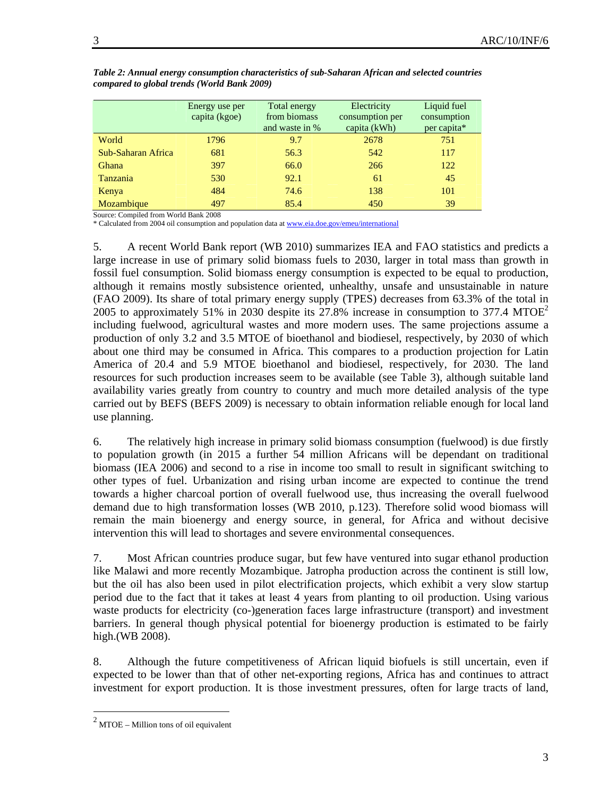|                    | Energy use per<br>capita (kgoe) | Total energy<br>from biomass<br>and waste in % | Electricity<br>consumption per<br>capita (kWh) | Liquid fuel<br>consumption<br>per capita* |
|--------------------|---------------------------------|------------------------------------------------|------------------------------------------------|-------------------------------------------|
|                    |                                 |                                                |                                                |                                           |
| World              | 1796                            | 9.7                                            | 2678                                           | 751                                       |
| Sub-Saharan Africa | 681                             | 56.3                                           | 542                                            | 117                                       |
| Ghana              | 397                             | 66.0                                           | 266                                            | 122                                       |
| Tanzania           | 530                             | 92.1                                           | 61                                             | 45                                        |
| Kenya              | 484                             | 74.6                                           | 138                                            | 101                                       |
| Mozambique         | 497                             | 85.4                                           | 450                                            | 39                                        |

*Table 2: Annual energy consumption characteristics of sub-Saharan African and selected countries compared to global trends (World Bank 2009)* 

Source: Compiled from World Bank 2008

\* Calculated from 2004 oil consumption and population data at www.eia.doe.gov/emeu/international

5. A recent World Bank report (WB 2010) summarizes IEA and FAO statistics and predicts a large increase in use of primary solid biomass fuels to 2030, larger in total mass than growth in fossil fuel consumption. Solid biomass energy consumption is expected to be equal to production, although it remains mostly subsistence oriented, unhealthy, unsafe and unsustainable in nature (FAO 2009). Its share of total primary energy supply (TPES) decreases from 63.3% of the total in 2005 to approximately 51% in 2030 despite its 27.8% increase in consumption to 377.4 MTOE<sup>2</sup> including fuelwood, agricultural wastes and more modern uses. The same projections assume a production of only 3.2 and 3.5 MTOE of bioethanol and biodiesel, respectively, by 2030 of which about one third may be consumed in Africa. This compares to a production projection for Latin America of 20.4 and 5.9 MTOE bioethanol and biodiesel, respectively, for 2030. The land resources for such production increases seem to be available (see Table 3), although suitable land availability varies greatly from country to country and much more detailed analysis of the type carried out by BEFS (BEFS 2009) is necessary to obtain information reliable enough for local land use planning.

6. The relatively high increase in primary solid biomass consumption (fuelwood) is due firstly to population growth (in 2015 a further 54 million Africans will be dependant on traditional biomass (IEA 2006) and second to a rise in income too small to result in significant switching to other types of fuel. Urbanization and rising urban income are expected to continue the trend towards a higher charcoal portion of overall fuelwood use, thus increasing the overall fuelwood demand due to high transformation losses (WB 2010, p.123). Therefore solid wood biomass will remain the main bioenergy and energy source, in general, for Africa and without decisive intervention this will lead to shortages and severe environmental consequences.

7. Most African countries produce sugar, but few have ventured into sugar ethanol production like Malawi and more recently Mozambique. Jatropha production across the continent is still low, but the oil has also been used in pilot electrification projects, which exhibit a very slow startup period due to the fact that it takes at least 4 years from planting to oil production. Using various waste products for electricity (co-)generation faces large infrastructure (transport) and investment barriers. In general though physical potential for bioenergy production is estimated to be fairly high.(WB 2008).

8. Although the future competitiveness of African liquid biofuels is still uncertain, even if expected to be lower than that of other net-exporting regions, Africa has and continues to attract investment for export production. It is those investment pressures, often for large tracts of land,

 $\overline{a}$ 

 $2$  MTOE – Million tons of oil equivalent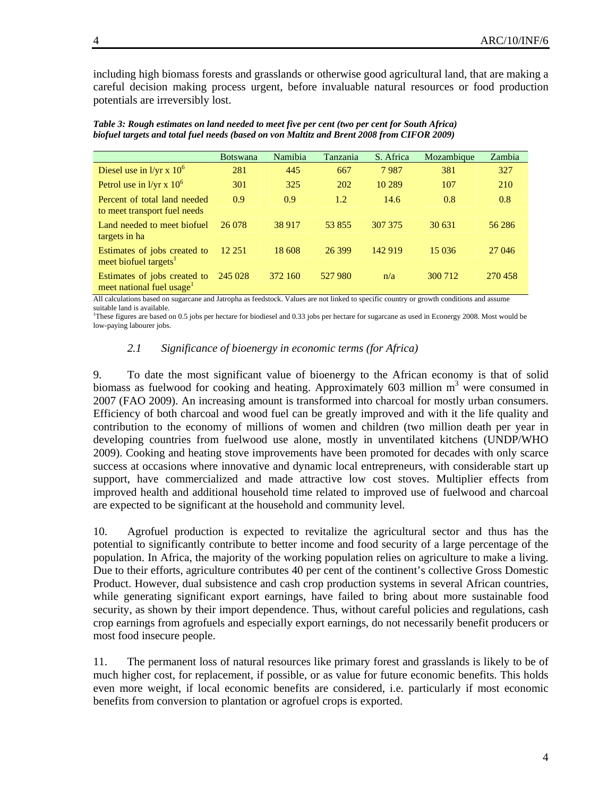including high biomass forests and grasslands or otherwise good agricultural land, that are making a careful decision making process urgent, before invaluable natural resources or food production potentials are irreversibly lost.

|                                                                       | <b>Botswana</b> | Namibia | Tanzania   | S. Africa | Mozambique | Zambia  |
|-----------------------------------------------------------------------|-----------------|---------|------------|-----------|------------|---------|
| Diesel use in $1/yr \times 10^6$                                      | 281             | 445     | 667        | 7987      | 381        | 327     |
| Petrol use in $1/yr \times 10^6$                                      | 301             | 325     | <b>202</b> | 10 289    | 107        | 210     |
| Percent of total land needed<br>to meet transport fuel needs          | 0.9             | 0.9     | 1.2        | 14.6      | 0.8        | 0.8     |
| Land needed to meet biofuel<br>targets in ha                          | 26 078          | 38 917  | 53 855     | 307 375   | 30 631     | 56 28 6 |
| Estimates of jobs created to<br>meet biofuel targets <sup>1</sup>     | 12 25 1         | 18 608  | 26 399     | 142 919   | 15 0 36    | 27 04 6 |
| Estimates of jobs created to<br>meet national fuel usage <sup>1</sup> | 245 028         | 372 160 | 527 980    | n/a       | 300 712    | 270458  |

*Table 3: Rough estimates on land needed to meet five per cent (two per cent for South Africa) biofuel targets and total fuel needs (based on von Maltitz and Brent 2008 from CIFOR 2009)* 

All calculations based on sugarcane and Jatropha as feedstock. Values are not linked to specific country or growth conditions and assume suitable land is available.

<sup>1</sup>These figures are based on 0.5 jobs per hectare for biodiesel and 0.33 jobs per hectare for sugarcane as used in Econergy 2008. Most would be low-paying labourer jobs.

## *2.1 Significance of bioenergy in economic terms (for Africa)*

9. To date the most significant value of bioenergy to the African economy is that of solid biomass as fuelwood for cooking and heating. Approximately 603 million  $m^3$  were consumed in 2007 (FAO 2009). An increasing amount is transformed into charcoal for mostly urban consumers. Efficiency of both charcoal and wood fuel can be greatly improved and with it the life quality and contribution to the economy of millions of women and children (two million death per year in developing countries from fuelwood use alone, mostly in unventilated kitchens (UNDP/WHO 2009). Cooking and heating stove improvements have been promoted for decades with only scarce success at occasions where innovative and dynamic local entrepreneurs, with considerable start up support, have commercialized and made attractive low cost stoves. Multiplier effects from improved health and additional household time related to improved use of fuelwood and charcoal are expected to be significant at the household and community level.

10. Agrofuel production is expected to revitalize the agricultural sector and thus has the potential to significantly contribute to better income and food security of a large percentage of the population. In Africa, the majority of the working population relies on agriculture to make a living. Due to their efforts, agriculture contributes 40 per cent of the continent's collective Gross Domestic Product. However, dual subsistence and cash crop production systems in several African countries, while generating significant export earnings, have failed to bring about more sustainable food security, as shown by their import dependence. Thus, without careful policies and regulations, cash crop earnings from agrofuels and especially export earnings, do not necessarily benefit producers or most food insecure people.

11. The permanent loss of natural resources like primary forest and grasslands is likely to be of much higher cost, for replacement, if possible, or as value for future economic benefits. This holds even more weight, if local economic benefits are considered, i.e. particularly if most economic benefits from conversion to plantation or agrofuel crops is exported.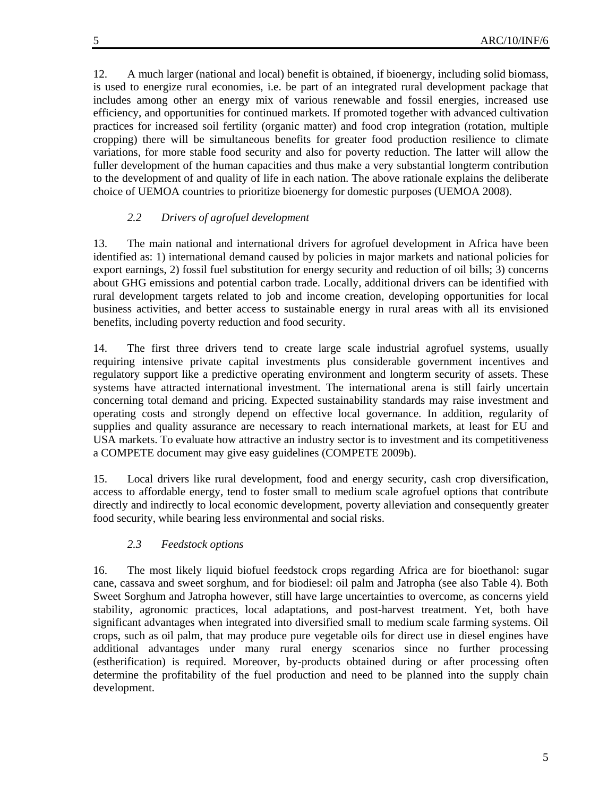12. A much larger (national and local) benefit is obtained, if bioenergy, including solid biomass, is used to energize rural economies, i.e. be part of an integrated rural development package that includes among other an energy mix of various renewable and fossil energies, increased use efficiency, and opportunities for continued markets. If promoted together with advanced cultivation practices for increased soil fertility (organic matter) and food crop integration (rotation, multiple cropping) there will be simultaneous benefits for greater food production resilience to climate variations, for more stable food security and also for poverty reduction. The latter will allow the fuller development of the human capacities and thus make a very substantial longterm contribution to the development of and quality of life in each nation. The above rationale explains the deliberate choice of UEMOA countries to prioritize bioenergy for domestic purposes (UEMOA 2008).

# *2.2 Drivers of agrofuel development*

13. The main national and international drivers for agrofuel development in Africa have been identified as: 1) international demand caused by policies in major markets and national policies for export earnings, 2) fossil fuel substitution for energy security and reduction of oil bills; 3) concerns about GHG emissions and potential carbon trade. Locally, additional drivers can be identified with rural development targets related to job and income creation, developing opportunities for local business activities, and better access to sustainable energy in rural areas with all its envisioned benefits, including poverty reduction and food security.

14. The first three drivers tend to create large scale industrial agrofuel systems, usually requiring intensive private capital investments plus considerable government incentives and regulatory support like a predictive operating environment and longterm security of assets. These systems have attracted international investment. The international arena is still fairly uncertain concerning total demand and pricing. Expected sustainability standards may raise investment and operating costs and strongly depend on effective local governance. In addition, regularity of supplies and quality assurance are necessary to reach international markets, at least for EU and USA markets. To evaluate how attractive an industry sector is to investment and its competitiveness a COMPETE document may give easy guidelines (COMPETE 2009b).

15. Local drivers like rural development, food and energy security, cash crop diversification, access to affordable energy, tend to foster small to medium scale agrofuel options that contribute directly and indirectly to local economic development, poverty alleviation and consequently greater food security, while bearing less environmental and social risks.

### *2.3 Feedstock options*

16. The most likely liquid biofuel feedstock crops regarding Africa are for bioethanol: sugar cane, cassava and sweet sorghum, and for biodiesel: oil palm and Jatropha (see also Table 4). Both Sweet Sorghum and Jatropha however, still have large uncertainties to overcome, as concerns yield stability, agronomic practices, local adaptations, and post-harvest treatment. Yet, both have significant advantages when integrated into diversified small to medium scale farming systems. Oil crops, such as oil palm, that may produce pure vegetable oils for direct use in diesel engines have additional advantages under many rural energy scenarios since no further processing (estherification) is required. Moreover, by-products obtained during or after processing often determine the profitability of the fuel production and need to be planned into the supply chain development.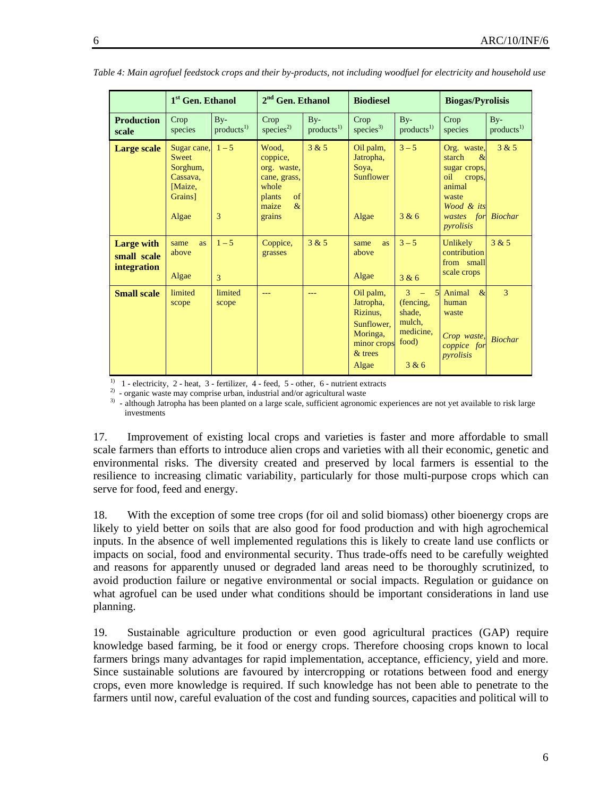|                                                        | 1 <sup>st</sup> Gen. Ethanol                                               |                                   | 2 <sup>nd</sup> Gen. Ethanol                                                                         |                                 | <b>Biodiesel</b>                                                                                  |                                                                                | <b>Biogas/Pyrolisis</b>                                                                                                       |                                |
|--------------------------------------------------------|----------------------------------------------------------------------------|-----------------------------------|------------------------------------------------------------------------------------------------------|---------------------------------|---------------------------------------------------------------------------------------------------|--------------------------------------------------------------------------------|-------------------------------------------------------------------------------------------------------------------------------|--------------------------------|
| <b>Production</b><br>scale                             | Crop<br>species                                                            | $By-$<br>$products$ <sup>1)</sup> | Crop<br>species <sup>2)</sup>                                                                        | $By-$<br>products <sup>1)</sup> | Crop<br>species <sup>3)</sup>                                                                     | $By-$<br>products <sup>1)</sup>                                                | Crop<br>species                                                                                                               | $By-$<br>products <sup>1</sup> |
| <b>Large scale</b>                                     | Sugar cane,<br>Sweet<br>Sorghum,<br>Cassava.<br>Maize,<br>Grains]<br>Algae | $1 - 5$<br>3                      | Wood,<br>coppice,<br>org. waste,<br>cane, grass,<br>whole<br>of<br>plants<br>maize<br>$\&$<br>grains | 3 & 5                           | Oil palm,<br>Jatropha,<br>Soya,<br><b>Sunflower</b><br>Algae                                      | $3 - 5$<br>3 & 6                                                               | Org. waste,<br>$\&$<br>starch<br>sugar crops,<br>oil<br>crops,<br>animal<br>waste<br>Wood & its<br>for<br>wastes<br>pyrolisis | 3 & 5<br><b>Biochar</b>        |
| <b>Large with</b><br>small scale<br><b>integration</b> | as<br>same<br>above<br>Algae                                               | $1 - 5$<br>$\mathbf{3}$           | Coppice,<br>grasses                                                                                  | 3 & 5                           | as<br>same<br>above<br>Algae                                                                      | $3 - 5$<br>3 & 6                                                               | Unlikely<br>contribution<br>from small<br>scale crops                                                                         | 3 & 5                          |
| <b>Small scale</b>                                     | limited<br>scope                                                           | limited<br>scope                  | ---                                                                                                  | $---$                           | Oil palm,<br>Jatropha,<br>Rizinus,<br>Sunflower.<br>Moringa,<br>minor crops<br>$&$ trees<br>Algae | $\overline{3}$<br>(fencing,<br>shade,<br>mulch,<br>medicine.<br>food)<br>3 & 6 | 5 Animal<br>$\&$<br>human<br>waste<br>Crop waste,<br>coppice for<br>pyrolisis                                                 | 3<br><b>Biochar</b>            |

*Table 4: Main agrofuel feedstock crops and their by-products, not including woodfuel for electricity and household use* 

<sup>1)</sup> 1 - electricity, 2 - heat, 3 - fertilizer, 4 - feed, 5 - other, 6 - nutrient extracts

<sup>2)</sup> - organic waste may comprise urban, industrial and/or agricultural waste

<sup>3)</sup> - although Jatropha has been planted on a large scale, sufficient agronomic experiences are not yet available to risk large investments

17. Improvement of existing local crops and varieties is faster and more affordable to small scale farmers than efforts to introduce alien crops and varieties with all their economic, genetic and environmental risks. The diversity created and preserved by local farmers is essential to the resilience to increasing climatic variability, particularly for those multi-purpose crops which can serve for food, feed and energy.

18. With the exception of some tree crops (for oil and solid biomass) other bioenergy crops are likely to yield better on soils that are also good for food production and with high agrochemical inputs. In the absence of well implemented regulations this is likely to create land use conflicts or impacts on social, food and environmental security. Thus trade-offs need to be carefully weighted and reasons for apparently unused or degraded land areas need to be thoroughly scrutinized, to avoid production failure or negative environmental or social impacts. Regulation or guidance on what agrofuel can be used under what conditions should be important considerations in land use planning.

19. Sustainable agriculture production or even good agricultural practices (GAP) require knowledge based farming, be it food or energy crops. Therefore choosing crops known to local farmers brings many advantages for rapid implementation, acceptance, efficiency, yield and more. Since sustainable solutions are favoured by intercropping or rotations between food and energy crops, even more knowledge is required. If such knowledge has not been able to penetrate to the farmers until now, careful evaluation of the cost and funding sources, capacities and political will to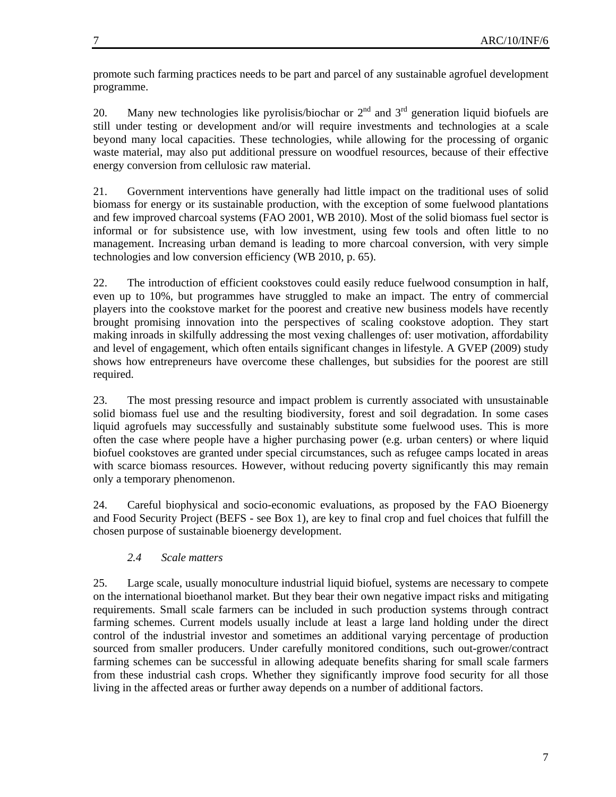promote such farming practices needs to be part and parcel of any sustainable agrofuel development programme.

20. Many new technologies like pyrolisis/biochar or  $2<sup>nd</sup>$  and  $3<sup>rd</sup>$  generation liquid biofuels are still under testing or development and/or will require investments and technologies at a scale beyond many local capacities. These technologies, while allowing for the processing of organic waste material, may also put additional pressure on woodfuel resources, because of their effective energy conversion from cellulosic raw material.

21. Government interventions have generally had little impact on the traditional uses of solid biomass for energy or its sustainable production, with the exception of some fuelwood plantations and few improved charcoal systems (FAO 2001, WB 2010). Most of the solid biomass fuel sector is informal or for subsistence use, with low investment, using few tools and often little to no management. Increasing urban demand is leading to more charcoal conversion, with very simple technologies and low conversion efficiency (WB 2010, p. 65).

22. The introduction of efficient cookstoves could easily reduce fuelwood consumption in half, even up to 10%, but programmes have struggled to make an impact. The entry of commercial players into the cookstove market for the poorest and creative new business models have recently brought promising innovation into the perspectives of scaling cookstove adoption. They start making inroads in skilfully addressing the most vexing challenges of: user motivation, affordability and level of engagement, which often entails significant changes in lifestyle. A GVEP (2009) study shows how entrepreneurs have overcome these challenges, but subsidies for the poorest are still required.

23. The most pressing resource and impact problem is currently associated with unsustainable solid biomass fuel use and the resulting biodiversity, forest and soil degradation. In some cases liquid agrofuels may successfully and sustainably substitute some fuelwood uses. This is more often the case where people have a higher purchasing power (e.g. urban centers) or where liquid biofuel cookstoves are granted under special circumstances, such as refugee camps located in areas with scarce biomass resources. However, without reducing poverty significantly this may remain only a temporary phenomenon.

24. Careful biophysical and socio-economic evaluations, as proposed by the FAO Bioenergy and Food Security Project (BEFS - see Box 1), are key to final crop and fuel choices that fulfill the chosen purpose of sustainable bioenergy development.

# *2.4 Scale matters*

25. Large scale, usually monoculture industrial liquid biofuel, systems are necessary to compete on the international bioethanol market. But they bear their own negative impact risks and mitigating requirements. Small scale farmers can be included in such production systems through contract farming schemes. Current models usually include at least a large land holding under the direct control of the industrial investor and sometimes an additional varying percentage of production sourced from smaller producers. Under carefully monitored conditions, such out-grower/contract farming schemes can be successful in allowing adequate benefits sharing for small scale farmers from these industrial cash crops. Whether they significantly improve food security for all those living in the affected areas or further away depends on a number of additional factors.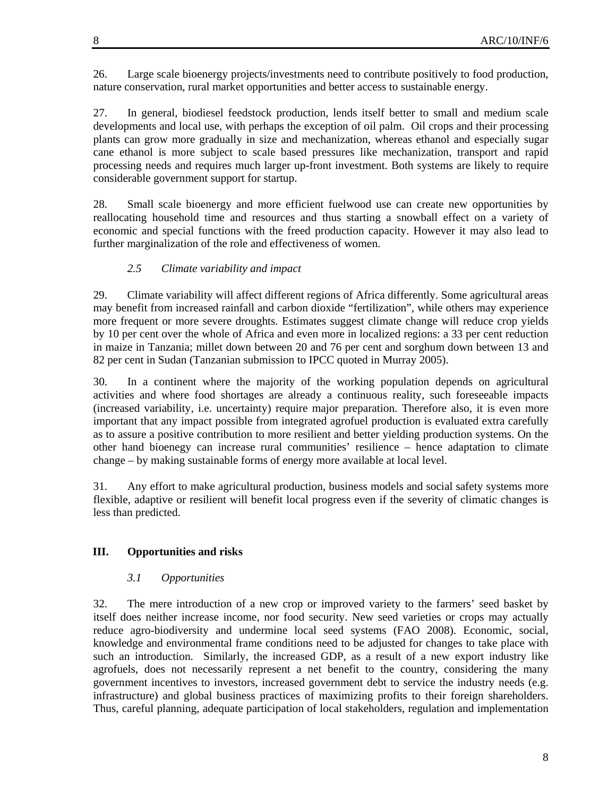26. Large scale bioenergy projects/investments need to contribute positively to food production, nature conservation, rural market opportunities and better access to sustainable energy.

27. In general, biodiesel feedstock production, lends itself better to small and medium scale developments and local use, with perhaps the exception of oil palm. Oil crops and their processing plants can grow more gradually in size and mechanization, whereas ethanol and especially sugar cane ethanol is more subject to scale based pressures like mechanization, transport and rapid processing needs and requires much larger up-front investment. Both systems are likely to require considerable government support for startup.

28. Small scale bioenergy and more efficient fuelwood use can create new opportunities by reallocating household time and resources and thus starting a snowball effect on a variety of economic and special functions with the freed production capacity. However it may also lead to further marginalization of the role and effectiveness of women.

#### *2.5 Climate variability and impact*

29. Climate variability will affect different regions of Africa differently. Some agricultural areas may benefit from increased rainfall and carbon dioxide "fertilization", while others may experience more frequent or more severe droughts. Estimates suggest climate change will reduce crop yields by 10 per cent over the whole of Africa and even more in localized regions: a 33 per cent reduction in maize in Tanzania; millet down between 20 and 76 per cent and sorghum down between 13 and 82 per cent in Sudan (Tanzanian submission to IPCC quoted in Murray 2005).

30. In a continent where the majority of the working population depends on agricultural activities and where food shortages are already a continuous reality, such foreseeable impacts (increased variability, i.e. uncertainty) require major preparation. Therefore also, it is even more important that any impact possible from integrated agrofuel production is evaluated extra carefully as to assure a positive contribution to more resilient and better yielding production systems. On the other hand bioenegy can increase rural communities' resilience – hence adaptation to climate change – by making sustainable forms of energy more available at local level.

31. Any effort to make agricultural production, business models and social safety systems more flexible, adaptive or resilient will benefit local progress even if the severity of climatic changes is less than predicted.

## **III. Opportunities and risks**

#### *3.1 Opportunities*

32. The mere introduction of a new crop or improved variety to the farmers' seed basket by itself does neither increase income, nor food security. New seed varieties or crops may actually reduce agro-biodiversity and undermine local seed systems (FAO 2008). Economic, social, knowledge and environmental frame conditions need to be adjusted for changes to take place with such an introduction. Similarly, the increased GDP, as a result of a new export industry like agrofuels, does not necessarily represent a net benefit to the country, considering the many government incentives to investors, increased government debt to service the industry needs (e.g. infrastructure) and global business practices of maximizing profits to their foreign shareholders. Thus, careful planning, adequate participation of local stakeholders, regulation and implementation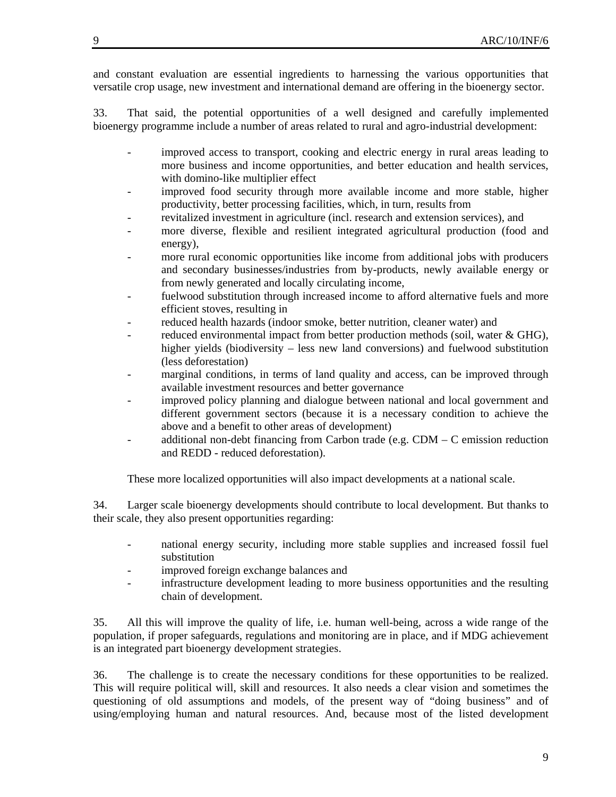and constant evaluation are essential ingredients to harnessing the various opportunities that versatile crop usage, new investment and international demand are offering in the bioenergy sector.

33. That said, the potential opportunities of a well designed and carefully implemented bioenergy programme include a number of areas related to rural and agro-industrial development:

- improved access to transport, cooking and electric energy in rural areas leading to more business and income opportunities, and better education and health services, with domino-like multiplier effect
- improved food security through more available income and more stable, higher productivity, better processing facilities, which, in turn, results from
- revitalized investment in agriculture (incl. research and extension services), and
- more diverse, flexible and resilient integrated agricultural production (food and energy),
- more rural economic opportunities like income from additional jobs with producers and secondary businesses/industries from by-products, newly available energy or from newly generated and locally circulating income,
- fuelwood substitution through increased income to afford alternative fuels and more efficient stoves, resulting in
- reduced health hazards (indoor smoke, better nutrition, cleaner water) and
- reduced environmental impact from better production methods (soil, water & GHG), higher yields (biodiversity – less new land conversions) and fuelwood substitution (less deforestation)
- marginal conditions, in terms of land quality and access, can be improved through available investment resources and better governance
- improved policy planning and dialogue between national and local government and different government sectors (because it is a necessary condition to achieve the above and a benefit to other areas of development)
- additional non-debt financing from Carbon trade (e.g. CDM C emission reduction and REDD - reduced deforestation).

These more localized opportunities will also impact developments at a national scale.

34. Larger scale bioenergy developments should contribute to local development. But thanks to their scale, they also present opportunities regarding:

- national energy security, including more stable supplies and increased fossil fuel substitution
- improved foreign exchange balances and
- infrastructure development leading to more business opportunities and the resulting chain of development.

35. All this will improve the quality of life, i.e. human well-being, across a wide range of the population, if proper safeguards, regulations and monitoring are in place, and if MDG achievement is an integrated part bioenergy development strategies.

36. The challenge is to create the necessary conditions for these opportunities to be realized. This will require political will, skill and resources. It also needs a clear vision and sometimes the questioning of old assumptions and models, of the present way of "doing business" and of using/employing human and natural resources. And, because most of the listed development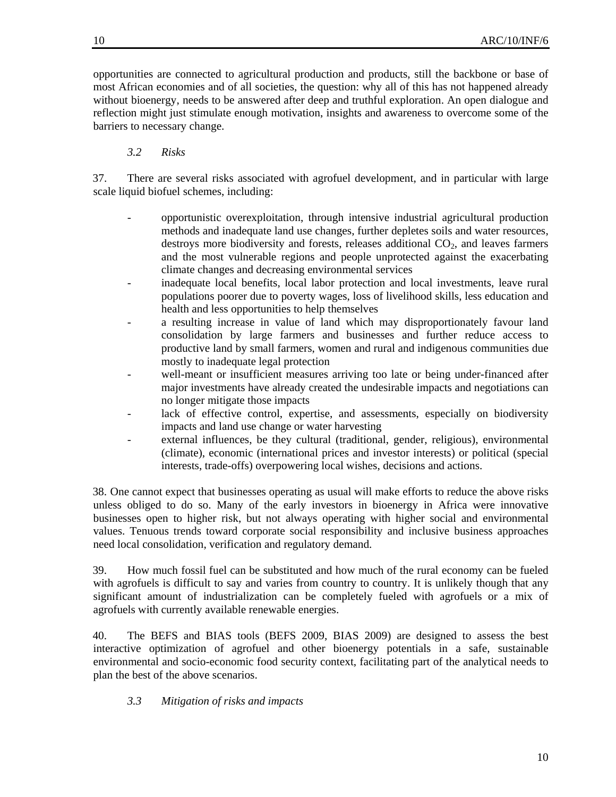opportunities are connected to agricultural production and products, still the backbone or base of most African economies and of all societies, the question: why all of this has not happened already without bioenergy, needs to be answered after deep and truthful exploration. An open dialogue and reflection might just stimulate enough motivation, insights and awareness to overcome some of the barriers to necessary change.

# *3.2 Risks*

37. There are several risks associated with agrofuel development, and in particular with large scale liquid biofuel schemes, including:

- opportunistic overexploitation, through intensive industrial agricultural production methods and inadequate land use changes, further depletes soils and water resources, destroys more biodiversity and forests, releases additional  $CO<sub>2</sub>$ , and leaves farmers and the most vulnerable regions and people unprotected against the exacerbating climate changes and decreasing environmental services
- inadequate local benefits, local labor protection and local investments, leave rural populations poorer due to poverty wages, loss of livelihood skills, less education and health and less opportunities to help themselves
- a resulting increase in value of land which may disproportionately favour land consolidation by large farmers and businesses and further reduce access to productive land by small farmers, women and rural and indigenous communities due mostly to inadequate legal protection
- well-meant or insufficient measures arriving too late or being under-financed after major investments have already created the undesirable impacts and negotiations can no longer mitigate those impacts
- lack of effective control, expertise, and assessments, especially on biodiversity impacts and land use change or water harvesting
- external influences, be they cultural (traditional, gender, religious), environmental (climate), economic (international prices and investor interests) or political (special interests, trade-offs) overpowering local wishes, decisions and actions.

38. One cannot expect that businesses operating as usual will make efforts to reduce the above risks unless obliged to do so. Many of the early investors in bioenergy in Africa were innovative businesses open to higher risk, but not always operating with higher social and environmental values. Tenuous trends toward corporate social responsibility and inclusive business approaches need local consolidation, verification and regulatory demand.

39. How much fossil fuel can be substituted and how much of the rural economy can be fueled with agrofuels is difficult to say and varies from country to country. It is unlikely though that any significant amount of industrialization can be completely fueled with agrofuels or a mix of agrofuels with currently available renewable energies.

40. The BEFS and BIAS tools (BEFS 2009, BIAS 2009) are designed to assess the best interactive optimization of agrofuel and other bioenergy potentials in a safe, sustainable environmental and socio-economic food security context, facilitating part of the analytical needs to plan the best of the above scenarios.

## *3.3 Mitigation of risks and impacts*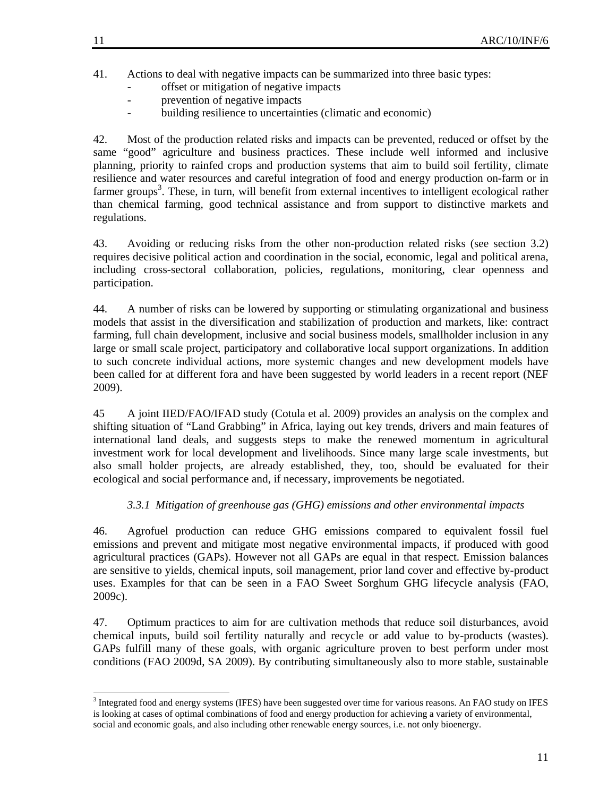- offset or mitigation of negative impacts
- prevention of negative impacts
- building resilience to uncertainties (climatic and economic)

42. Most of the production related risks and impacts can be prevented, reduced or offset by the same "good" agriculture and business practices. These include well informed and inclusive planning, priority to rainfed crops and production systems that aim to build soil fertility, climate resilience and water resources and careful integration of food and energy production on-farm or in farmer groups<sup>3</sup>. These, in turn, will benefit from external incentives to intelligent ecological rather than chemical farming, good technical assistance and from support to distinctive markets and regulations.

43. Avoiding or reducing risks from the other non-production related risks (see section 3.2) requires decisive political action and coordination in the social, economic, legal and political arena, including cross-sectoral collaboration, policies, regulations, monitoring, clear openness and participation.

44. A number of risks can be lowered by supporting or stimulating organizational and business models that assist in the diversification and stabilization of production and markets, like: contract farming, full chain development, inclusive and social business models, smallholder inclusion in any large or small scale project, participatory and collaborative local support organizations. In addition to such concrete individual actions, more systemic changes and new development models have been called for at different fora and have been suggested by world leaders in a recent report (NEF 2009).

45 A joint IIED/FAO/IFAD study (Cotula et al. 2009) provides an analysis on the complex and shifting situation of "Land Grabbing" in Africa, laying out key trends, drivers and main features of international land deals, and suggests steps to make the renewed momentum in agricultural investment work for local development and livelihoods. Since many large scale investments, but also small holder projects, are already established, they, too, should be evaluated for their ecological and social performance and, if necessary, improvements be negotiated.

## *3.3.1 Mitigation of greenhouse gas (GHG) emissions and other environmental impacts*

46. Agrofuel production can reduce GHG emissions compared to equivalent fossil fuel emissions and prevent and mitigate most negative environmental impacts, if produced with good agricultural practices (GAPs). However not all GAPs are equal in that respect. Emission balances are sensitive to yields, chemical inputs, soil management, prior land cover and effective by-product uses. Examples for that can be seen in a FAO Sweet Sorghum GHG lifecycle analysis (FAO, 2009c).

47. Optimum practices to aim for are cultivation methods that reduce soil disturbances, avoid chemical inputs, build soil fertility naturally and recycle or add value to by-products (wastes). GAPs fulfill many of these goals, with organic agriculture proven to best perform under most conditions (FAO 2009d, SA 2009). By contributing simultaneously also to more stable, sustainable

 $\overline{a}$ 

<sup>&</sup>lt;sup>3</sup> Integrated food and energy systems (IFES) have been suggested over time for various reasons. An FAO study on IFES is looking at cases of optimal combinations of food and energy production for achieving a variety of environmental, social and economic goals, and also including other renewable energy sources, i.e. not only bioenergy.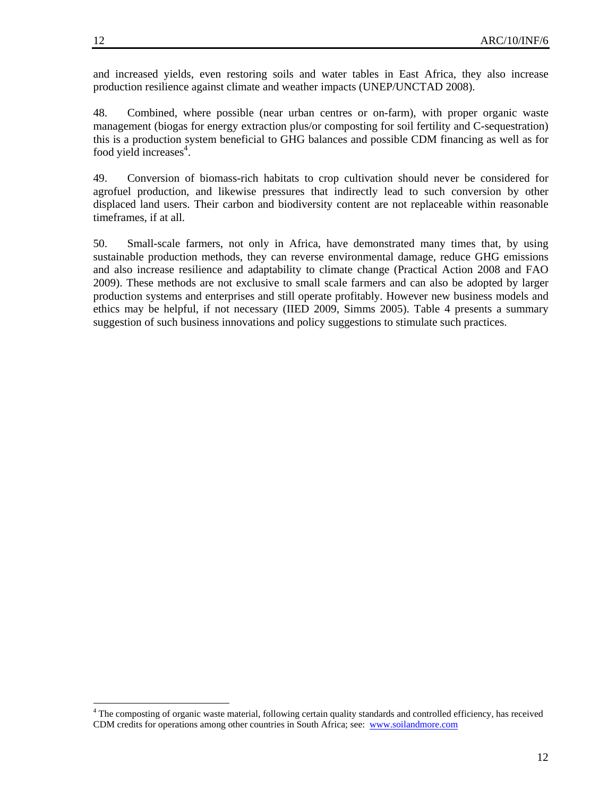and increased yields, even restoring soils and water tables in East Africa, they also increase production resilience against climate and weather impacts (UNEP/UNCTAD 2008).

48. Combined, where possible (near urban centres or on-farm), with proper organic waste management (biogas for energy extraction plus/or composting for soil fertility and C-sequestration) this is a production system beneficial to GHG balances and possible CDM financing as well as for food yield increases<sup>4</sup>.

49. Conversion of biomass-rich habitats to crop cultivation should never be considered for agrofuel production, and likewise pressures that indirectly lead to such conversion by other displaced land users. Their carbon and biodiversity content are not replaceable within reasonable timeframes, if at all.

50. Small-scale farmers, not only in Africa, have demonstrated many times that, by using sustainable production methods, they can reverse environmental damage, reduce GHG emissions and also increase resilience and adaptability to climate change (Practical Action 2008 and FAO 2009). These methods are not exclusive to small scale farmers and can also be adopted by larger production systems and enterprises and still operate profitably. However new business models and ethics may be helpful, if not necessary (IIED 2009, Simms 2005). Table 4 presents a summary suggestion of such business innovations and policy suggestions to stimulate such practices.

 $\overline{\phantom{a}}$ 

<sup>&</sup>lt;sup>4</sup> The composting of organic waste material, following certain quality standards and controlled efficiency, has received CDM credits for operations among other countries in South Africa; see: www.soilandmore.com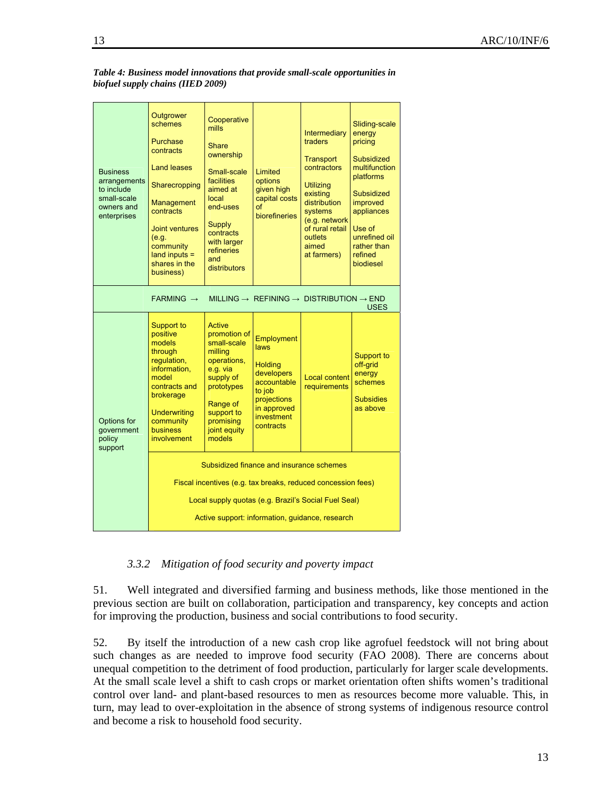| <b>Business</b><br>arrangements<br>to include<br>small-scale<br>owners and<br>enterprises | Outgrower<br>schemes<br>Purchase<br>contracts<br><b>Land leases</b><br>Sharecropping<br><b>Management</b><br>contracts<br><b>Joint ventures</b><br>(e.g.<br>community<br>$land$ inputs $=$<br>shares in the<br>business)<br>$FARMING \rightarrow$ | Cooperative<br>mills<br>Share<br>ownership<br>Small-scale<br><b>facilities</b><br>aimed at<br>local<br>end-uses<br>Supply<br>contracts<br>with larger<br>refineries<br>and<br>distributors | Limited<br>options<br>given high<br>capital costs<br>of<br>biorefineries                                                                           | <b>Intermediary</b><br>traders<br><b>Transport</b><br>contractors<br><b>Utilizing</b><br>existing<br>distribution<br>systems<br>(e.g. network<br>of rural retail<br>outlets<br>aimed<br>at farmers) | Sliding-scale<br>energy<br>pricing<br>Subsidized<br>multifunction<br>platforms<br>Subsidized<br>improved<br>appliances<br>Use of<br>unrefined oil<br>rather than<br>refined<br><b>biodiesel</b> |  |  |
|-------------------------------------------------------------------------------------------|---------------------------------------------------------------------------------------------------------------------------------------------------------------------------------------------------------------------------------------------------|--------------------------------------------------------------------------------------------------------------------------------------------------------------------------------------------|----------------------------------------------------------------------------------------------------------------------------------------------------|-----------------------------------------------------------------------------------------------------------------------------------------------------------------------------------------------------|-------------------------------------------------------------------------------------------------------------------------------------------------------------------------------------------------|--|--|
|                                                                                           | MILLING $\rightarrow$ REFINING $\rightarrow$ DISTRIBUTION $\rightarrow$ END                                                                                                                                                                       | <b>USES</b>                                                                                                                                                                                |                                                                                                                                                    |                                                                                                                                                                                                     |                                                                                                                                                                                                 |  |  |
| Options for<br>government<br>policy<br>support                                            | Support to<br>positive<br>models<br>through<br>regulation,<br>information,<br>model<br>contracts and<br>brokerage<br><b>Underwriting</b><br>community<br>business<br>involvement                                                                  | Active<br>promotion of<br>small-scale<br>milling<br>operations,<br>e.g. via<br>supply of<br>prototypes<br>Range of<br>support to<br>promising<br>joint equity<br>models                    | Employment<br><b>laws</b><br><b>Holding</b><br>developers<br>accountable<br>to job<br>projections<br>in approved<br><i>investment</i><br>contracts | <b>Local content</b><br>requirements                                                                                                                                                                | Support to<br>off-grid<br>energy<br>schemes<br><b>Subsidies</b><br>as above                                                                                                                     |  |  |
|                                                                                           | Subsidized finance and insurance schemes<br>Fiscal incentives (e.g. tax breaks, reduced concession fees)<br>Local supply quotas (e.g. Brazil's Social Fuel Seal)                                                                                  |                                                                                                                                                                                            |                                                                                                                                                    |                                                                                                                                                                                                     |                                                                                                                                                                                                 |  |  |
|                                                                                           | Active support: information, quidance, research                                                                                                                                                                                                   |                                                                                                                                                                                            |                                                                                                                                                    |                                                                                                                                                                                                     |                                                                                                                                                                                                 |  |  |

*Table 4: Business model innovations that provide small-scale opportunities in biofuel supply chains (IIED 2009)*

*3.3.2 Mitigation of food security and poverty impact* 

51. Well integrated and diversified farming and business methods, like those mentioned in the previous section are built on collaboration, participation and transparency, key concepts and action for improving the production, business and social contributions to food security.

52. By itself the introduction of a new cash crop like agrofuel feedstock will not bring about such changes as are needed to improve food security (FAO 2008). There are concerns about unequal competition to the detriment of food production, particularly for larger scale developments. At the small scale level a shift to cash crops or market orientation often shifts women's traditional control over land- and plant-based resources to men as resources become more valuable. This, in turn, may lead to over-exploitation in the absence of strong systems of indigenous resource control and become a risk to household food security.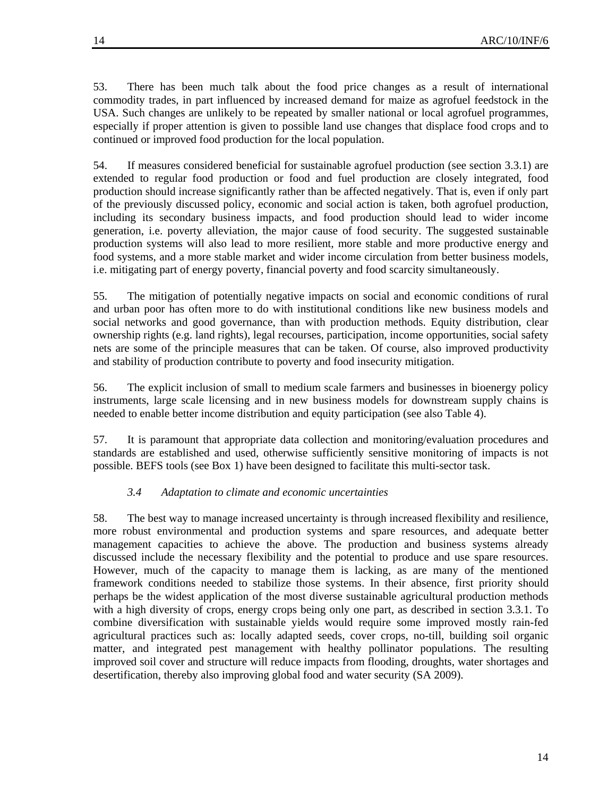53. There has been much talk about the food price changes as a result of international commodity trades, in part influenced by increased demand for maize as agrofuel feedstock in the USA. Such changes are unlikely to be repeated by smaller national or local agrofuel programmes, especially if proper attention is given to possible land use changes that displace food crops and to continued or improved food production for the local population.

54. If measures considered beneficial for sustainable agrofuel production (see section 3.3.1) are extended to regular food production or food and fuel production are closely integrated, food production should increase significantly rather than be affected negatively. That is, even if only part of the previously discussed policy, economic and social action is taken, both agrofuel production, including its secondary business impacts, and food production should lead to wider income generation, i.e. poverty alleviation, the major cause of food security. The suggested sustainable production systems will also lead to more resilient, more stable and more productive energy and food systems, and a more stable market and wider income circulation from better business models, i.e. mitigating part of energy poverty, financial poverty and food scarcity simultaneously.

55. The mitigation of potentially negative impacts on social and economic conditions of rural and urban poor has often more to do with institutional conditions like new business models and social networks and good governance, than with production methods. Equity distribution, clear ownership rights (e.g. land rights), legal recourses, participation, income opportunities, social safety nets are some of the principle measures that can be taken. Of course, also improved productivity and stability of production contribute to poverty and food insecurity mitigation.

56. The explicit inclusion of small to medium scale farmers and businesses in bioenergy policy instruments, large scale licensing and in new business models for downstream supply chains is needed to enable better income distribution and equity participation (see also Table 4).

57. It is paramount that appropriate data collection and monitoring/evaluation procedures and standards are established and used, otherwise sufficiently sensitive monitoring of impacts is not possible. BEFS tools (see Box 1) have been designed to facilitate this multi-sector task.

## *3.4 Adaptation to climate and economic uncertainties*

58. The best way to manage increased uncertainty is through increased flexibility and resilience, more robust environmental and production systems and spare resources, and adequate better management capacities to achieve the above. The production and business systems already discussed include the necessary flexibility and the potential to produce and use spare resources. However, much of the capacity to manage them is lacking, as are many of the mentioned framework conditions needed to stabilize those systems. In their absence, first priority should perhaps be the widest application of the most diverse sustainable agricultural production methods with a high diversity of crops, energy crops being only one part, as described in section 3.3.1. To combine diversification with sustainable yields would require some improved mostly rain-fed agricultural practices such as: locally adapted seeds, cover crops, no-till, building soil organic matter, and integrated pest management with healthy pollinator populations. The resulting improved soil cover and structure will reduce impacts from flooding, droughts, water shortages and desertification, thereby also improving global food and water security (SA 2009).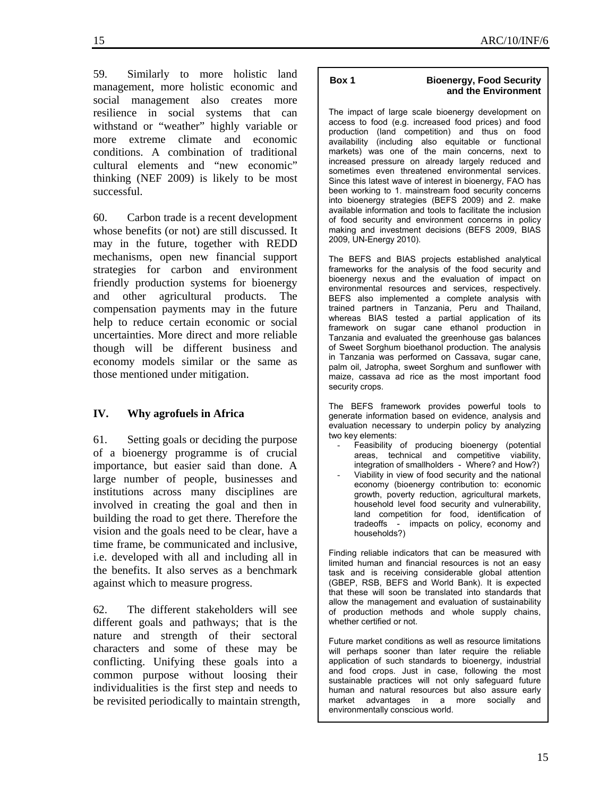59. Similarly to more holistic land management, more holistic economic and social management also creates more resilience in social systems that can withstand or "weather" highly variable or more extreme climate and economic conditions. A combination of traditional cultural elements and "new economic" thinking (NEF 2009) is likely to be most successful.

60. Carbon trade is a recent development whose benefits (or not) are still discussed. It may in the future, together with REDD mechanisms, open new financial support strategies for carbon and environment friendly production systems for bioenergy and other agricultural products. The compensation payments may in the future help to reduce certain economic or social uncertainties. More direct and more reliable though will be different business and economy models similar or the same as those mentioned under mitigation.

# **IV. Why agrofuels in Africa**

61. Setting goals or deciding the purpose of a bioenergy programme is of crucial importance, but easier said than done. A large number of people, businesses and institutions across many disciplines are involved in creating the goal and then in building the road to get there. Therefore the vision and the goals need to be clear, have a time frame, be communicated and inclusive, i.e. developed with all and including all in the benefits. It also serves as a benchmark against which to measure progress.

62. The different stakeholders will see different goals and pathways; that is the nature and strength of their sectoral characters and some of these may be conflicting. Unifying these goals into a common purpose without loosing their individualities is the first step and needs to be revisited periodically to maintain strength,

### **Box 1 Bioenergy, Food Security and the Environment**

The impact of large scale bioenergy development on access to food (e.g. increased food prices) and food production (land competition) and thus on food availability (including also equitable or functional markets) was one of the main concerns, next to increased pressure on already largely reduced and sometimes even threatened environmental services. Since this latest wave of interest in bioenergy, FAO has been working to 1. mainstream food security concerns into bioenergy strategies (BEFS 2009) and 2. make available information and tools to facilitate the inclusion of food security and environment concerns in policy making and investment decisions (BEFS 2009, BIAS 2009, UN-Energy 2010).

The BEFS and BIAS projects established analytical frameworks for the analysis of the food security and bioenergy nexus and the evaluation of impact on environmental resources and services, respectively. BEFS also implemented a complete analysis with trained partners in Tanzania, Peru and Thailand, whereas BIAS tested a partial application of its framework on sugar cane ethanol production in Tanzania and evaluated the greenhouse gas balances of Sweet Sorghum bioethanol production. The analysis in Tanzania was performed on Cassava, sugar cane, palm oil, Jatropha, sweet Sorghum and sunflower with maize, cassava ad rice as the most important food security crops.

The BEFS framework provides powerful tools to generate information based on evidence, analysis and evaluation necessary to underpin policy by analyzing two key elements:

- Feasibility of producing bioenergy (potential areas, technical and competitive viability, integration of smallholders - Where? and How?)
- Viability in view of food security and the national economy (bioenergy contribution to: economic growth, poverty reduction, agricultural markets, household level food security and vulnerability, land competition for food, identification of tradeoffs - impacts on policy, economy and households?)

Finding reliable indicators that can be measured with limited human and financial resources is not an easy task and is receiving considerable global attention (GBEP, RSB, BEFS and World Bank). It is expected that these will soon be translated into standards that allow the management and evaluation of sustainability of production methods and whole supply chains, whether certified or not.

Future market conditions as well as resource limitations will perhaps sooner than later require the reliable application of such standards to bioenergy, industrial and food crops. Just in case, following the most sustainable practices will not only safeguard future human and natural resources but also assure early market advantages in a more socially and environmentally conscious world.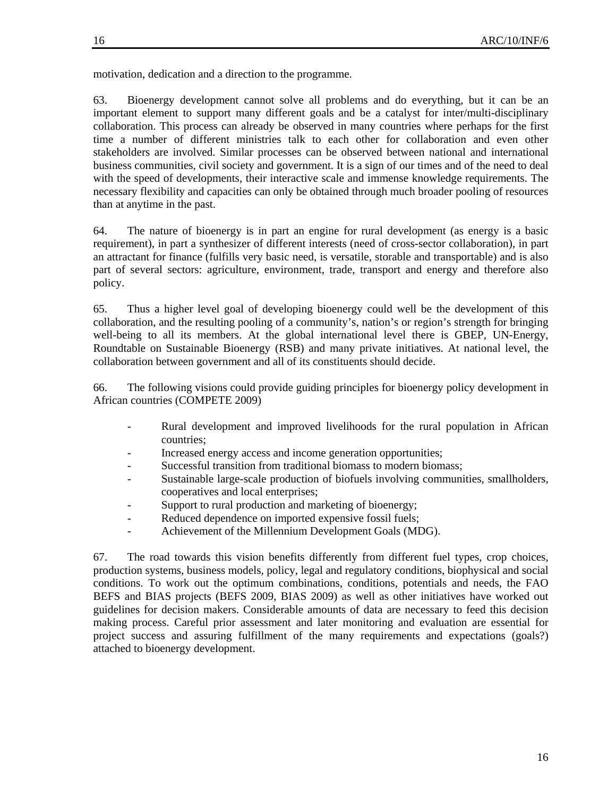motivation, dedication and a direction to the programme.

63. Bioenergy development cannot solve all problems and do everything, but it can be an important element to support many different goals and be a catalyst for inter/multi-disciplinary collaboration. This process can already be observed in many countries where perhaps for the first time a number of different ministries talk to each other for collaboration and even other stakeholders are involved. Similar processes can be observed between national and international business communities, civil society and government. It is a sign of our times and of the need to deal with the speed of developments, their interactive scale and immense knowledge requirements. The necessary flexibility and capacities can only be obtained through much broader pooling of resources than at anytime in the past.

64. The nature of bioenergy is in part an engine for rural development (as energy is a basic requirement), in part a synthesizer of different interests (need of cross-sector collaboration), in part an attractant for finance (fulfills very basic need, is versatile, storable and transportable) and is also part of several sectors: agriculture, environment, trade, transport and energy and therefore also policy.

65. Thus a higher level goal of developing bioenergy could well be the development of this collaboration, and the resulting pooling of a community's, nation's or region's strength for bringing well-being to all its members. At the global international level there is GBEP, UN-Energy, Roundtable on Sustainable Bioenergy (RSB) and many private initiatives. At national level, the collaboration between government and all of its constituents should decide.

66. The following visions could provide guiding principles for bioenergy policy development in African countries (COMPETE 2009)

- Rural development and improved livelihoods for the rural population in African countries;
- Increased energy access and income generation opportunities;
- Successful transition from traditional biomass to modern biomass;
- Sustainable large-scale production of biofuels involving communities, smallholders, cooperatives and local enterprises;
- Support to rural production and marketing of bioenergy;
- Reduced dependence on imported expensive fossil fuels;
- Achievement of the Millennium Development Goals (MDG).

67. The road towards this vision benefits differently from different fuel types, crop choices, production systems, business models, policy, legal and regulatory conditions, biophysical and social conditions. To work out the optimum combinations, conditions, potentials and needs, the FAO BEFS and BIAS projects (BEFS 2009, BIAS 2009) as well as other initiatives have worked out guidelines for decision makers. Considerable amounts of data are necessary to feed this decision making process. Careful prior assessment and later monitoring and evaluation are essential for project success and assuring fulfillment of the many requirements and expectations (goals?) attached to bioenergy development.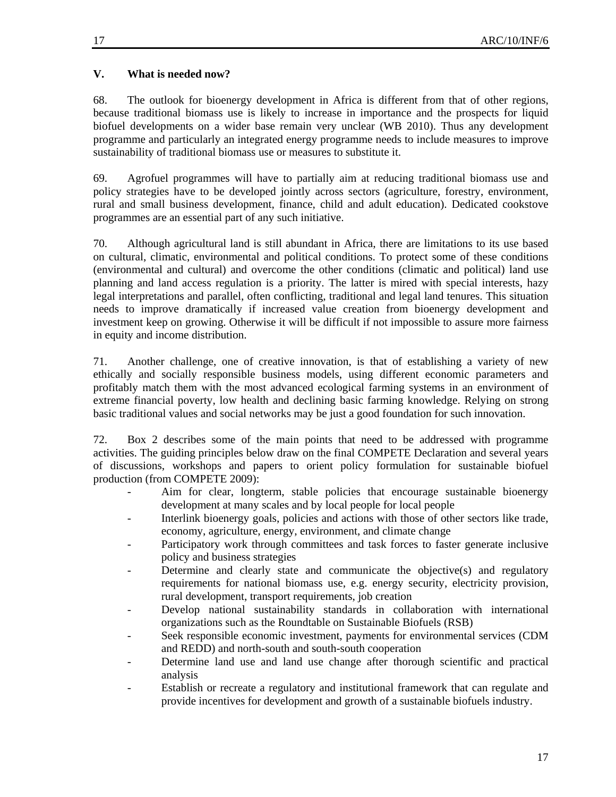# **V. What is needed now?**

68. The outlook for bioenergy development in Africa is different from that of other regions, because traditional biomass use is likely to increase in importance and the prospects for liquid biofuel developments on a wider base remain very unclear (WB 2010). Thus any development programme and particularly an integrated energy programme needs to include measures to improve sustainability of traditional biomass use or measures to substitute it.

69. Agrofuel programmes will have to partially aim at reducing traditional biomass use and policy strategies have to be developed jointly across sectors (agriculture, forestry, environment, rural and small business development, finance, child and adult education). Dedicated cookstove programmes are an essential part of any such initiative.

70. Although agricultural land is still abundant in Africa, there are limitations to its use based on cultural, climatic, environmental and political conditions. To protect some of these conditions (environmental and cultural) and overcome the other conditions (climatic and political) land use planning and land access regulation is a priority. The latter is mired with special interests, hazy legal interpretations and parallel, often conflicting, traditional and legal land tenures. This situation needs to improve dramatically if increased value creation from bioenergy development and investment keep on growing. Otherwise it will be difficult if not impossible to assure more fairness in equity and income distribution.

71. Another challenge, one of creative innovation, is that of establishing a variety of new ethically and socially responsible business models, using different economic parameters and profitably match them with the most advanced ecological farming systems in an environment of extreme financial poverty, low health and declining basic farming knowledge. Relying on strong basic traditional values and social networks may be just a good foundation for such innovation.

72. Box 2 describes some of the main points that need to be addressed with programme activities. The guiding principles below draw on the final COMPETE Declaration and several years of discussions, workshops and papers to orient policy formulation for sustainable biofuel production (from COMPETE 2009):

- Aim for clear, longterm, stable policies that encourage sustainable bioenergy development at many scales and by local people for local people
- Interlink bioenergy goals, policies and actions with those of other sectors like trade, economy, agriculture, energy, environment, and climate change
- Participatory work through committees and task forces to faster generate inclusive policy and business strategies
- Determine and clearly state and communicate the objective(s) and regulatory requirements for national biomass use, e.g. energy security, electricity provision, rural development, transport requirements, job creation
- Develop national sustainability standards in collaboration with international organizations such as the Roundtable on Sustainable Biofuels (RSB)
- Seek responsible economic investment, payments for environmental services (CDM and REDD) and north-south and south-south cooperation
- Determine land use and land use change after thorough scientific and practical analysis
- Establish or recreate a regulatory and institutional framework that can regulate and provide incentives for development and growth of a sustainable biofuels industry.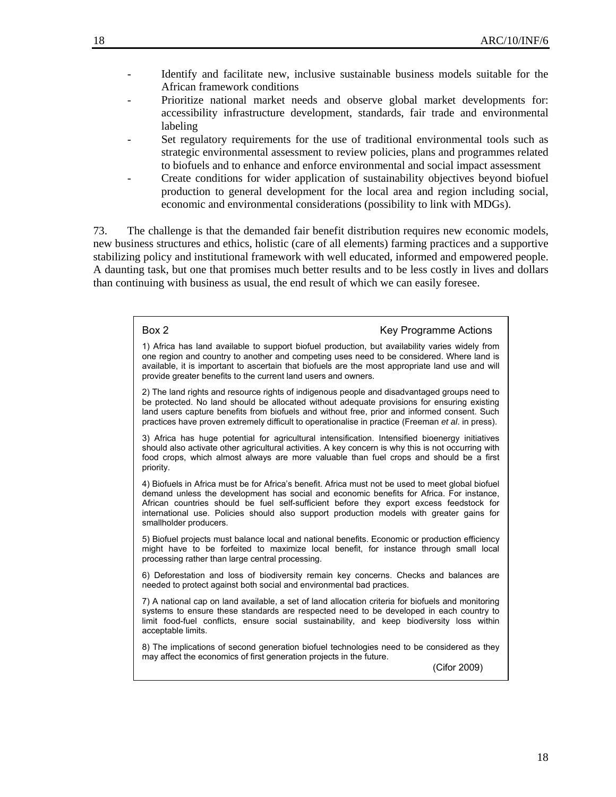- Identify and facilitate new, inclusive sustainable business models suitable for the African framework conditions
- Prioritize national market needs and observe global market developments for: accessibility infrastructure development, standards, fair trade and environmental labeling
- Set regulatory requirements for the use of traditional environmental tools such as strategic environmental assessment to review policies, plans and programmes related to biofuels and to enhance and enforce environmental and social impact assessment
- Create conditions for wider application of sustainability objectives beyond biofuel production to general development for the local area and region including social, economic and environmental considerations (possibility to link with MDGs).

73. The challenge is that the demanded fair benefit distribution requires new economic models, new business structures and ethics, holistic (care of all elements) farming practices and a supportive stabilizing policy and institutional framework with well educated, informed and empowered people. A daunting task, but one that promises much better results and to be less costly in lives and dollars than continuing with business as usual, the end result of which we can easily foresee.

> Box 2 **Key Programme Actions** 1) Africa has land available to support biofuel production, but availability varies widely from one region and country to another and competing uses need to be considered. Where land is available, it is important to ascertain that biofuels are the most appropriate land use and will provide greater benefits to the current land users and owners. 2) The land rights and resource rights of indigenous people and disadvantaged groups need to be protected. No land should be allocated without adequate provisions for ensuring existing land users capture benefits from biofuels and without free, prior and informed consent. Such practices have proven extremely difficult to operationalise in practice (Freeman *et al*. in press). 3) Africa has huge potential for agricultural intensification. Intensified bioenergy initiatives should also activate other agricultural activities. A key concern is why this is not occurring with food crops, which almost always are more valuable than fuel crops and should be a first priority. 4) Biofuels in Africa must be for Africa's benefit. Africa must not be used to meet global biofuel demand unless the development has social and economic benefits for Africa. For instance, African countries should be fuel self-sufficient before they export excess feedstock for international use. Policies should also support production models with greater gains for smallholder producers. 5) Biofuel projects must balance local and national benefits. Economic or production efficiency might have to be forfeited to maximize local benefit, for instance through small local processing rather than large central processing. 6) Deforestation and loss of biodiversity remain key concerns. Checks and balances are needed to protect against both social and environmental bad practices. 7) A national cap on land available, a set of land allocation criteria for biofuels and monitoring systems to ensure these standards are respected need to be developed in each country to limit food-fuel conflicts, ensure social sustainability, and keep biodiversity loss within acceptable limits. 8) The implications of second generation biofuel technologies need to be considered as they may affect the economics of first generation projects in the future. (Cifor 2009)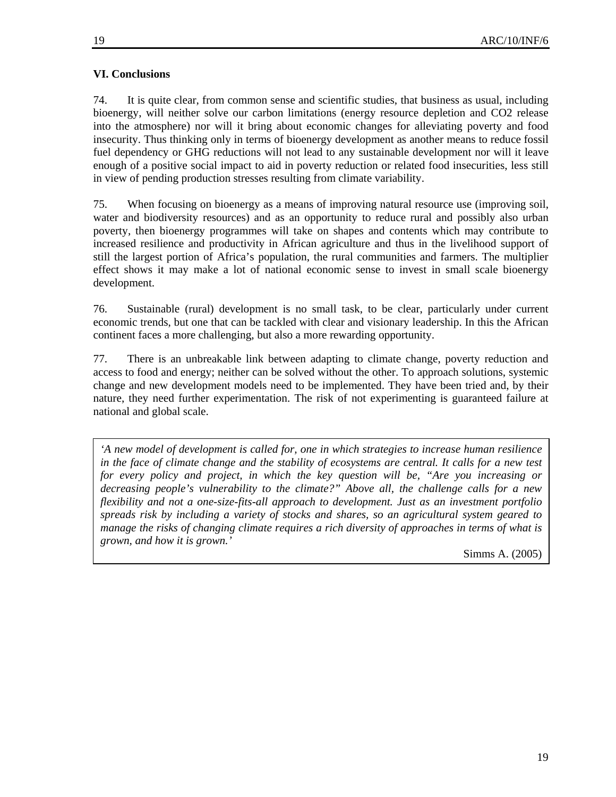# **VI. Conclusions**

74. It is quite clear, from common sense and scientific studies, that business as usual, including bioenergy, will neither solve our carbon limitations (energy resource depletion and CO2 release into the atmosphere) nor will it bring about economic changes for alleviating poverty and food insecurity. Thus thinking only in terms of bioenergy development as another means to reduce fossil fuel dependency or GHG reductions will not lead to any sustainable development nor will it leave enough of a positive social impact to aid in poverty reduction or related food insecurities, less still in view of pending production stresses resulting from climate variability.

75. When focusing on bioenergy as a means of improving natural resource use (improving soil, water and biodiversity resources) and as an opportunity to reduce rural and possibly also urban poverty, then bioenergy programmes will take on shapes and contents which may contribute to increased resilience and productivity in African agriculture and thus in the livelihood support of still the largest portion of Africa's population, the rural communities and farmers. The multiplier effect shows it may make a lot of national economic sense to invest in small scale bioenergy development.

76. Sustainable (rural) development is no small task, to be clear, particularly under current economic trends, but one that can be tackled with clear and visionary leadership. In this the African continent faces a more challenging, but also a more rewarding opportunity.

77. There is an unbreakable link between adapting to climate change, poverty reduction and access to food and energy; neither can be solved without the other. To approach solutions, systemic change and new development models need to be implemented. They have been tried and, by their nature, they need further experimentation. The risk of not experimenting is guaranteed failure at national and global scale.

*'A new model of development is called for, one in which strategies to increase human resilience in the face of climate change and the stability of ecosystems are central. It calls for a new test for every policy and project, in which the key question will be, "Are you increasing or decreasing people's vulnerability to the climate?" Above all, the challenge calls for a new flexibility and not a one-size-fits-all approach to development. Just as an investment portfolio spreads risk by including a variety of stocks and shares, so an agricultural system geared to manage the risks of changing climate requires a rich diversity of approaches in terms of what is grown, and how it is grown.'* 

Simms A. (2005)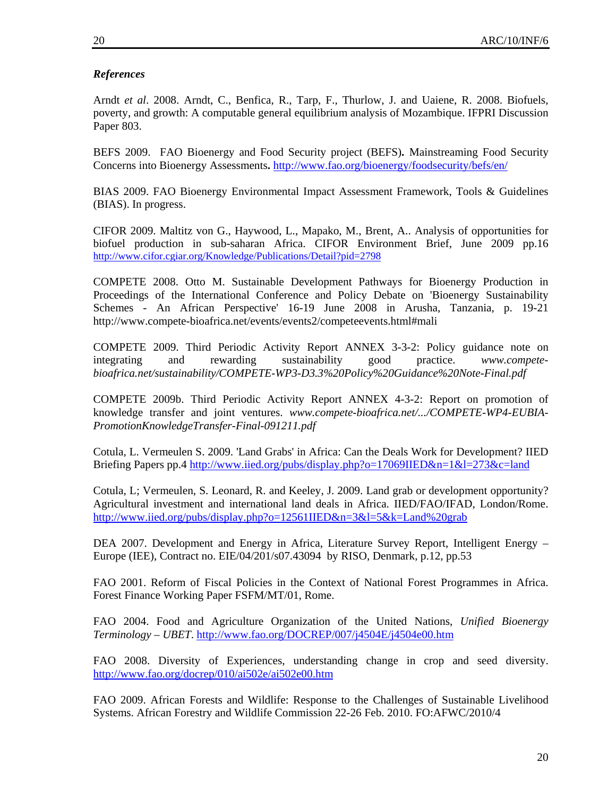# *References*

Arndt *et al*. 2008. Arndt, C., Benfica, R., Tarp, F., Thurlow, J. and Uaiene, R. 2008. Biofuels, poverty, and growth: A computable general equilibrium analysis of Mozambique. IFPRI Discussion Paper 803.

BEFS 2009. FAO Bioenergy and Food Security project (BEFS)**.** Mainstreaming Food Security Concerns into Bioenergy Assessments**.** http://www.fao.org/bioenergy/foodsecurity/befs/en/

BIAS 2009. FAO Bioenergy Environmental Impact Assessment Framework, Tools & Guidelines (BIAS). In progress.

CIFOR 2009. Maltitz von G., Haywood, L., Mapako, M., Brent, A.. Analysis of opportunities for biofuel production in sub-saharan Africa. CIFOR Environment Brief, June 2009 pp.16 http://www.cifor.cgiar.org/Knowledge/Publications/Detail?pid=2798

COMPETE 2008. Otto M. Sustainable Development Pathways for Bioenergy Production in Proceedings of the International Conference and Policy Debate on 'Bioenergy Sustainability Schemes - An African Perspective' 16-19 June 2008 in Arusha, Tanzania, p. 19-21 http://www.compete-bioafrica.net/events/events2/competeevents.html#mali

COMPETE 2009. Third Periodic Activity Report ANNEX 3-3-2: Policy guidance note on integrating and rewarding sustainability good practice. *www.competebioafrica.net/sustainability/COMPETE-WP3-D3.3%20Policy%20Guidance%20Note-Final.pdf*

COMPETE 2009b. Third Periodic Activity Report ANNEX 4-3-2: Report on promotion of knowledge transfer and joint ventures. *www.compete-bioafrica.net/.../COMPETE-WP4-EUBIA-PromotionKnowledgeTransfer-Final-091211.pdf*

Cotula, L. Vermeulen S. 2009. 'Land Grabs' in Africa: Can the Deals Work for Development? IIED Briefing Papers pp.4 http://www.iied.org/pubs/display.php?o=17069IIED&n=1&l=273&c=land

Cotula, L; Vermeulen, S. Leonard, R. and Keeley, J. 2009. Land grab or development opportunity? Agricultural investment and international land deals in Africa. IIED/FAO/IFAD, London/Rome. http://www.iied.org/pubs/display.php?o=12561IIED&n=3&l=5&k=Land%20grab

DEA 2007. Development and Energy in Africa, Literature Survey Report, Intelligent Energy – Europe (IEE), Contract no. EIE/04/201/s07.43094 by RISO, Denmark, p.12, pp.53

FAO 2001. Reform of Fiscal Policies in the Context of National Forest Programmes in Africa. Forest Finance Working Paper FSFM/MT/01, Rome.

FAO 2004. Food and Agriculture Organization of the United Nations, *Unified Bioenergy Terminology – UBET*. http://www.fao.org/DOCREP/007/j4504E/j4504e00.htm

FAO 2008. Diversity of Experiences, understanding change in crop and seed diversity. http://www.fao.org/docrep/010/ai502e/ai502e00.htm

FAO 2009. African Forests and Wildlife: Response to the Challenges of Sustainable Livelihood Systems. African Forestry and Wildlife Commission 22-26 Feb. 2010. FO:AFWC/2010/4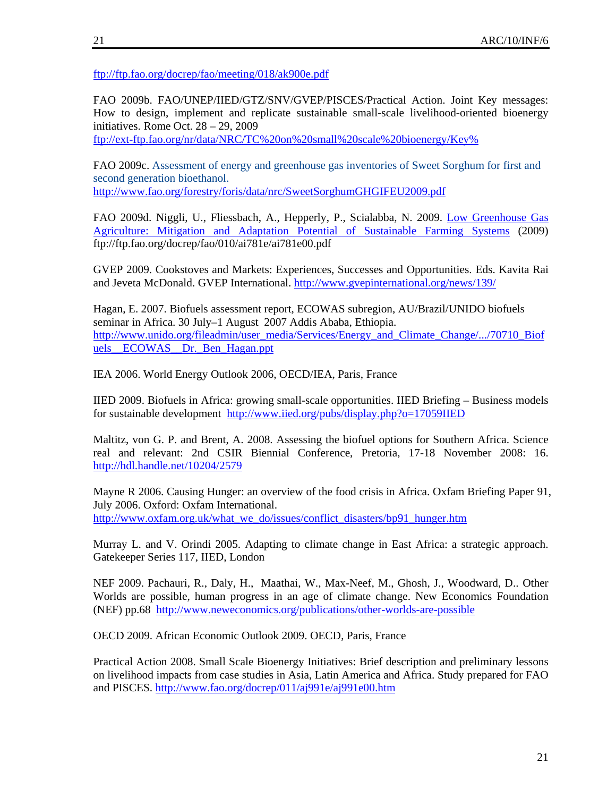ftp://ftp.fao.org/docrep/fao/meeting/018/ak900e.pdf

FAO 2009b. FAO/UNEP/IIED/GTZ/SNV/GVEP/PISCES/Practical Action. Joint Key messages: How to design, implement and replicate sustainable small-scale livelihood-oriented bioenergy initiatives. Rome Oct. 28 – 29, 2009

ftp://ext-ftp.fao.org/nr/data/NRC/TC%20on%20small%20scale%20bioenergy/Key%

FAO 2009c. Assessment of energy and greenhouse gas inventories of Sweet Sorghum for first and second generation bioethanol.

http://www.fao.org/forestry/foris/data/nrc/SweetSorghumGHGIFEU2009.pdf

FAO 2009d. Niggli, U., Fliessbach, A., Hepperly, P., Scialabba, N. 2009. Low Greenhouse Gas Agriculture: Mitigation and Adaptation Potential of Sustainable Farming Systems (2009) ftp://ftp.fao.org/docrep/fao/010/ai781e/ai781e00.pdf

GVEP 2009. Cookstoves and Markets: Experiences, Successes and Opportunities. Eds. Kavita Rai and Jeveta McDonald. GVEP International. http://www.gvepinternational.org/news/139/

Hagan, E. 2007. Biofuels assessment report, ECOWAS subregion, AU/Brazil/UNIDO biofuels seminar in Africa. 30 July–1 August 2007 Addis Ababa, Ethiopia. http://www.unido.org/fileadmin/user\_media/Services/Energy\_and\_Climate\_Change/.../70710\_Biof uels ECOWAS Dr. Ben Hagan.ppt

IEA 2006. World Energy Outlook 2006, OECD/IEA, Paris, France

IIED 2009. Biofuels in Africa: growing small-scale opportunities. IIED Briefing – Business models for sustainable development http://www.iied.org/pubs/display.php?o=17059IIED

Maltitz, von G. P. and Brent, A. 2008. Assessing the biofuel options for Southern Africa. Science real and relevant: 2nd CSIR Biennial Conference, Pretoria, 17-18 November 2008: 16. http://hdl.handle.net/10204/2579

Mayne R 2006. Causing Hunger: an overview of the food crisis in Africa. Oxfam Briefing Paper 91, July 2006. Oxford: Oxfam International. http://www.oxfam.org.uk/what\_we\_do/issues/conflict\_disasters/bp91\_hunger.htm

Murray L. and V. Orindi 2005. Adapting to climate change in East Africa: a strategic approach. Gatekeeper Series 117, IIED, London

NEF 2009. Pachauri, R., Daly, H., Maathai, W., Max-Neef, M., Ghosh, J., Woodward, D.. Other Worlds are possible, human progress in an age of climate change. New Economics Foundation (NEF) pp.68 http://www.neweconomics.org/publications/other-worlds-are-possible

OECD 2009. African Economic Outlook 2009. OECD, Paris, France

Practical Action 2008. Small Scale Bioenergy Initiatives: Brief description and preliminary lessons on livelihood impacts from case studies in Asia, Latin America and Africa. Study prepared for FAO and PISCES. http://www.fao.org/docrep/011/aj991e/aj991e00.htm